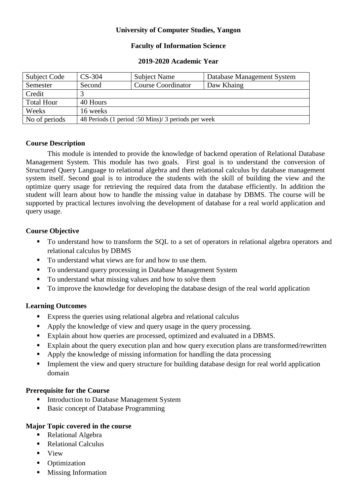# **University of Computer Studies, Yangon**

### **Faculty of Information Science**

#### **2019-2020 Academic Year**

| Subject Code      | $CS-304$                                           | <b>Subject Name</b>       | Database Management System |
|-------------------|----------------------------------------------------|---------------------------|----------------------------|
| Semester          | Second                                             | <b>Course Coordinator</b> | Daw Khaing                 |
| Credit            |                                                    |                           |                            |
| <b>Total Hour</b> | 40 Hours                                           |                           |                            |
| Weeks             | 16 weeks                                           |                           |                            |
| No of periods     | 48 Periods (1 period :50 Mins)/ 3 periods per week |                           |                            |

# **Course Description**

This module is intended to provide the knowledge of backend operation of Relational Database Management System. This module has two goals. First goal is to understand the conversion of Structured Query Language to relational algebra and then relational calculus by database management system itself. Second goal is to introduce the students with the skill of building the view and the optimize query usage for retrieving the required data from the database efficiently. In addition the student will learn about how to handle the missing value in database by DBMS. The course will be supported by practical lectures involving the development of database for a real world application and query usage.

# **Course Objective**

- To understand how to transform the SQL to a set of operators in relational algebra operators and relational calculus by DBMS
- To understand what views are for and how to use them.
- To understand query processing in Database Management System
- To understand what missing values and how to solve them
- To improve the knowledge for developing the database design of the real world application

# **Learning Outcomes**

- Express the queries using relational algebra and relational calculus
- Apply the knowledge of view and query usage in the query processing.
- Explain about how queries are processed, optimized and evaluated in a DBMS.
- Explain about the query execution plan and how query execution plans are transformed/rewritten
- Apply the knowledge of missing information for handling the data processing
- Implement the view and query structure for building database design for real world application domain

# **Prerequisite for the Course**

- **Introduction to Database Management System**
- Basic concept of Database Programming

# **Major Topic covered in the course**

- Relational Algebra
- Relational Calculus
- **view**
- Optimization
- Missing Information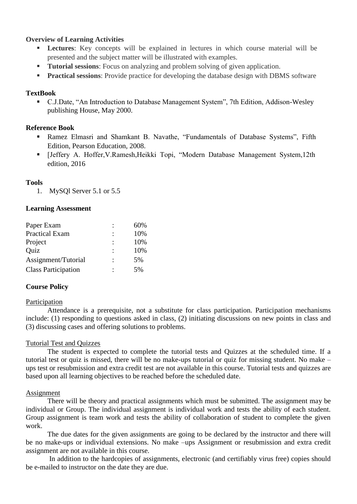### **Overview of Learning Activities**

- **Lectures**: Key concepts will be explained in lectures in which course material will be presented and the subject matter will be illustrated with examples.
- **Tutorial sessions:** Focus on analyzing and problem solving of given application.
- **Practical sessions**: Provide practice for developing the database design with DBMS software

### **TextBook**

 C.J.Date, "An Introduction to Database Management System", 7th Edition, Addison-Wesley publishing House, May 2000.

## **Reference Book**

- Ramez Elmasri and Shamkant B. Navathe, "Fundamentals of Database Systems", Fifth Edition, Pearson Education, 2008.
- [Jeffery A. Hoffer,V.Ramesh,Heikki Topi, "Modern Database Management System,12th edition, 2016

### **Tools**

1. MySQl Server 5.1 or 5.5

#### **Learning Assessment**

| Paper Exam                 |   | 60% |
|----------------------------|---|-----|
| <b>Practical Exam</b>      |   | 10% |
| Project                    |   | 10% |
| Quiz                       | ٠ | 10% |
| Assignment/Tutorial        | ٠ | 5%  |
| <b>Class Participation</b> |   | 5%  |

#### **Course Policy**

#### Participation

Attendance is a prerequisite, not a substitute for class participation. Participation mechanisms include: (1) responding to questions asked in class, (2) initiating discussions on new points in class and (3) discussing cases and offering solutions to problems.

#### Tutorial Test and Quizzes

The student is expected to complete the tutorial tests and Quizzes at the scheduled time. If a tutorial test or quiz is missed, there will be no make-ups tutorial or quiz for missing student. No make – ups test or resubmission and extra credit test are not available in this course. Tutorial tests and quizzes are based upon all learning objectives to be reached before the scheduled date.

#### Assignment

There will be theory and practical assignments which must be submitted. The assignment may be individual or Group. The individual assignment is individual work and tests the ability of each student. Group assignment is team work and tests the ability of collaboration of student to complete the given work.

The due dates for the given assignments are going to be declared by the instructor and there will be no make-ups or individual extensions. No make –ups Assignment or resubmission and extra credit assignment are not available in this course.

In addition to the hardcopies of assignments, electronic (and certifiably virus free) copies should be e-mailed to instructor on the date they are due.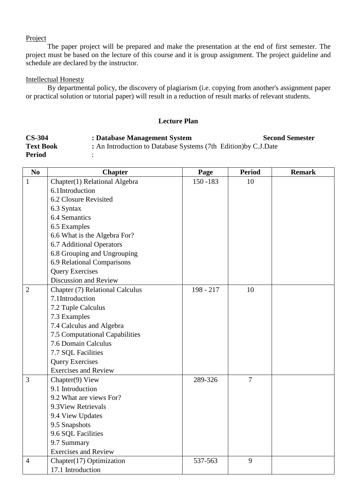### Project

The paper project will be prepared and make the presentation at the end of first semester. The project must be based on the lecture of this course and it is group assignment. The project guideline and schedule are declared by the instructor.

#### Intellectual Honesty

By departmental policy, the discovery of plagiarism (i.e. copying from another's assignment paper or practical solution or tutorial paper) will result in a reduction of result marks of relevant students.

#### **Lecture Plan**

| <b>CS-304</b>    | : Database Management System                                    | <b>Second Semester</b> |
|------------------|-----------------------------------------------------------------|------------------------|
| <b>Text Book</b> | : An Introduction to Database Systems (7th Edition) by C.J.Date |                        |
| <b>Period</b>    |                                                                 |                        |

| N <sub>o</sub> | <b>Chapter</b>                  | Page      | <b>Period</b>  | <b>Remark</b> |
|----------------|---------------------------------|-----------|----------------|---------------|
| $\mathbf{1}$   | Chapter(1) Relational Algebra   | 150 - 183 | 10             |               |
|                | 6.1Introduction                 |           |                |               |
|                | 6.2 Closure Revisited           |           |                |               |
|                | 6.3 Syntax                      |           |                |               |
|                | 6.4 Semantics                   |           |                |               |
|                | 6.5 Examples                    |           |                |               |
|                | 6.6 What is the Algebra For?    |           |                |               |
|                | 6.7 Additional Operators        |           |                |               |
|                | 6.8 Grouping and Ungrouping     |           |                |               |
|                | 6.9 Relational Comparisons      |           |                |               |
|                | <b>Query Exercises</b>          |           |                |               |
|                | Discussion and Review           |           |                |               |
| $\overline{2}$ | Chapter (7) Relational Calculus | 198 - 217 | 10             |               |
|                | 7.1Introduction                 |           |                |               |
|                | 7.2 Tuple Calculus              |           |                |               |
|                | 7.3 Examples                    |           |                |               |
|                | 7.4 Calculus and Algebra        |           |                |               |
|                | 7.5 Computational Capabilities  |           |                |               |
|                | 7.6 Domain Calculus             |           |                |               |
|                | 7.7 SQL Facilities              |           |                |               |
|                | <b>Query Exercises</b>          |           |                |               |
|                | <b>Exercises and Review</b>     |           |                |               |
| 3              | Chapter(9) View                 | 289-326   | $\overline{7}$ |               |
|                | 9.1 Introduction                |           |                |               |
|                | 9.2 What are views For?         |           |                |               |
|                | 9.3 View Retrievals             |           |                |               |
|                | 9.4 View Updates                |           |                |               |
|                | 9.5 Snapshots                   |           |                |               |
|                | 9.6 SQL Facilities              |           |                |               |
|                | 9.7 Summary                     |           |                |               |
|                | <b>Exercises and Review</b>     |           |                |               |
| $\overline{4}$ | Chapter(17) Optimization        | 537-563   | 9              |               |
|                | 17.1 Introduction               |           |                |               |